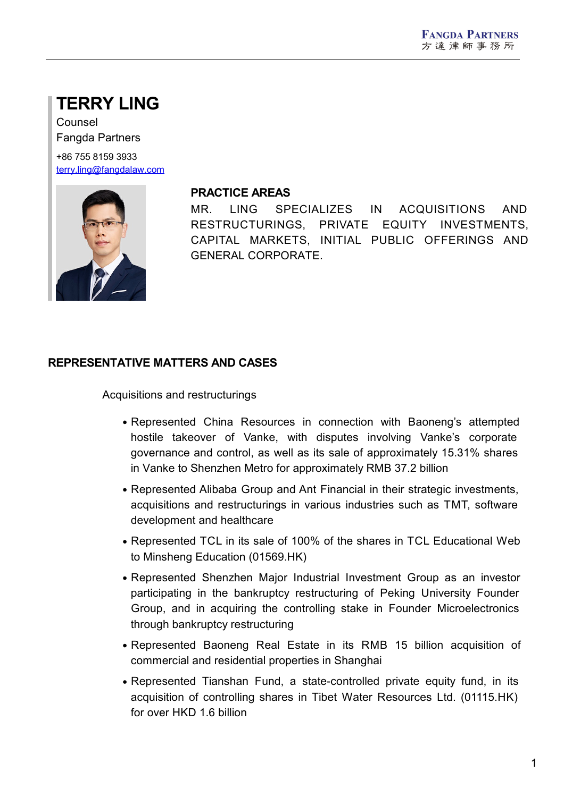# **TERRY LING**

Counsel Fangda Partners

+86 755 8159 3933 [terry.ling@fangdalaw.com](mailto:terry.ling@fangdalaw.com)



#### **PRACTICE AREAS**

MR. LING SPECIALIZES IN ACQUISITIONS AND RESTRUCTURINGS, PRIVATE EQUITY INVESTMENTS, CAPITAL MARKETS, INITIAL PUBLIC OFFERINGS AND GENERAL CORPORATE.

### **REPRESENTATIVE MATTERS AND CASES**

Acquisitions and restructurings

- Represented China Resources in connection with Baoneng's attempted hostile takeover of Vanke, with disputes involving Vanke's corporate governance and control, as well as its sale of approximately 15.31% shares in Vanke to Shenzhen Metro for approximately RMB 37.2 billion
- Represented Alibaba Group and Ant Financial in their strategic investments, acquisitions and restructurings in various industries such as TMT, software development and healthcare
- Represented TCL in its sale of 100% of the shares in TCL Educational Web to Minsheng Education (01569.HK)
- Represented Shenzhen Major Industrial Investment Group as an investor participating in the bankruptcy restructuring of Peking University Founder Group, and in acquiring the controlling stake in Founder Microelectronics through bankruptcy restructuring
- Represented Baoneng Real Estate in its RMB 15 billion acquisition of commercial and residential properties in Shanghai
- Represented Tianshan Fund, a state-controlled private equity fund, in its acquisition of controlling shares in Tibet Water Resources Ltd. (01115.HK) for over HKD 1.6 billion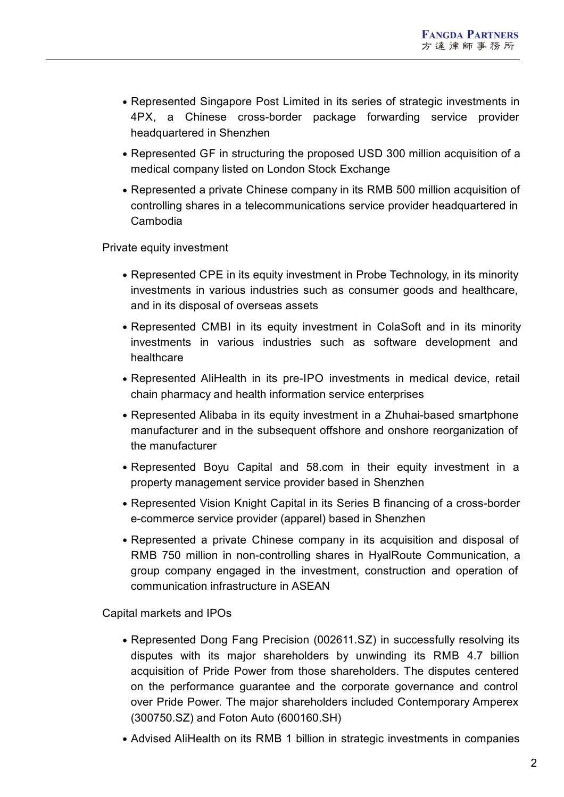- Represented Singapore Post Limited in its series of strategic investments in 4PX, a Chinese cross-border package forwarding service provider headquartered in Shenzhen
- Represented GF in structuring the proposed USD 300 million acquisition of a medical company listed on London Stock Exchange
- Represented a private Chinese company in its RMB 500 million acquisition of controlling shares in a telecommunications service provider headquartered in Cambodia

Private equity investment

- Represented CPE in its equity investment in Probe Technology, in its minority investments in various industries such as consumer goods and healthcare, and in its disposal of overseas assets
- Represented CMBI in its equity investment in ColaSoft and in its minority investments in various industries such as software development and healthcare
- Represented AliHealth in its pre-IPO investments in medical device, retail chain pharmacy and health information service enterprises
- Represented Alibaba in its equity investment in a Zhuhai-based smartphone manufacturer and in the subsequent offshore and onshore reorganization of the manufacturer
- Represented Boyu Capital and 58.com in their equity investment in a property management service provider based in Shenzhen
- Represented Vision Knight Capital in its Series B financing of a cross-border e-commerce service provider (apparel) based in Shenzhen
- Represented a private Chinese company in its acquisition and disposal of RMB 750 million in non-controlling shares in HyalRoute Communication, a group company engaged in the investment, construction and operation of communication infrastructure in ASEAN

Capital markets and IPOs

- Represented Dong Fang Precision (002611.SZ) in successfully resolving its disputes with its major shareholders by unwinding its RMB 4.7 billion acquisition of Pride Power from those shareholders. The disputes centered on the performance guarantee and the corporate governance and control over Pride Power. The major shareholders included Contemporary Amperex (300750.SZ) and Foton Auto (600160.SH)
- Advised AliHealth on its RMB 1 billion in strategic investments in companies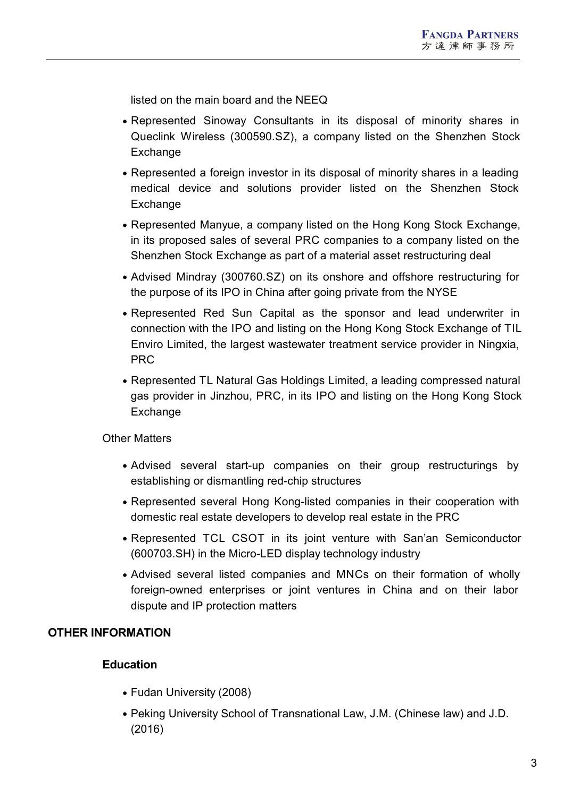listed on the main board and the NEEQ

- Represented Sinoway Consultants in its disposal of minority shares in Queclink Wireless (300590.SZ), a company listed on the Shenzhen Stock Exchange
- Represented a foreign investor in its disposal of minority shares in a leading medical device and solutions provider listed on the Shenzhen Stock **Exchange**
- Represented Manyue, a company listed on the Hong Kong Stock Exchange, in its proposed sales of several PRC companies to a company listed on the Shenzhen Stock Exchange as part of a material asset restructuring deal
- Advised Mindray (300760.SZ) on its onshore and offshore restructuring for the purpose of its IPO in China after going private from the NYSE
- Represented Red Sun Capital as the sponsor and lead underwriter in connection with the IPO and listing on the Hong Kong Stock Exchange of TIL Enviro Limited, the largest wastewater treatment service provider in Ningxia, PRC
- Represented TL Natural Gas Holdings Limited, a leading compressed natural gas provider in Jinzhou, PRC, in its IPO and listing on the Hong Kong Stock Exchange

Other Matters

- Advised several start-up companies on their group restructurings by establishing or dismantling red-chip structures
- Represented several Hong Kong-listed companies in their cooperation with domestic real estate developers to develop real estate in the PRC
- Represented TCL CSOT in its joint venture with San'an Semiconductor (600703.SH) in the Micro-LED display technology industry
- Advised several listed companies and MNCs on their formation of wholly foreign-owned enterprises or joint ventures in China and on their labor dispute and IP protection matters

### **OTHER INFORMATION**

### **Education**

- Fudan University (2008)
- Peking University School of Transnational Law, J.M. (Chinese law) and J.D. (2016)